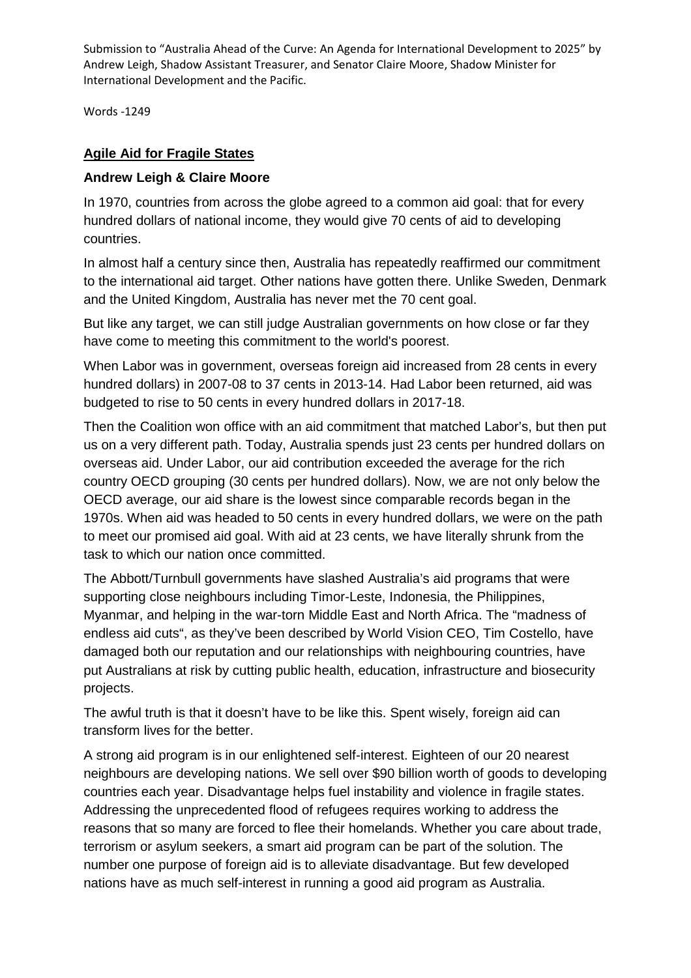Submission to "Australia Ahead of the Curve: An Agenda for International Development to 2025" by Andrew Leigh, Shadow Assistant Treasurer, and Senator Claire Moore, Shadow Minister for International Development and the Pacific.

Words -1249

## **Agile Aid for Fragile States**

### **Andrew Leigh & Claire Moore**

In 1970, countries from across the globe agreed to a common aid goal: that for every hundred dollars of national income, they would give 70 cents of aid to developing countries.

In almost half a century since then, Australia has repeatedly reaffirmed our commitment to the international aid target. Other nations have gotten there. Unlike Sweden, Denmark and the United Kingdom, Australia has never met the 70 cent goal.

But like any target, we can still judge Australian governments on how close or far they have come to meeting this commitment to the world's poorest.

When Labor was in government, overseas foreign aid increased from 28 cents in every hundred dollars) in 2007-08 to 37 cents in 2013-14. Had Labor been returned, aid was budgeted to rise to 50 cents in every hundred dollars in 2017-18.

Then the Coalition won office with an aid commitment that matched Labor's, but then put us on a very different path. Today, Australia spends just 23 cents per hundred dollars on overseas aid. Under Labor, our aid contribution exceeded the average for the rich country OECD grouping (30 cents per hundred dollars). Now, we are not only below the OECD average, our aid share is the lowest since comparable records began in the 1970s. When aid was headed to 50 cents in every hundred dollars, we were on the path to meet our promised aid goal. With aid at 23 cents, we have literally shrunk from the task to which our nation once committed.

The Abbott/Turnbull governments have slashed Australia's aid programs that were supporting close neighbours including Timor-Leste, Indonesia, the Philippines, Myanmar, and helping in the war-torn Middle East and North Africa. The "madness of endless aid cuts", as they've been described by World Vision CEO, Tim Costello, have damaged both our reputation and our relationships with neighbouring countries, have put Australians at risk by cutting public health, education, infrastructure and biosecurity projects.

The awful truth is that it doesn't have to be like this. Spent wisely, foreign aid can transform lives for the better.

A strong aid program is in our enlightened self-interest. Eighteen of our 20 nearest neighbours are developing nations. We sell over \$90 billion worth of goods to developing countries each year. Disadvantage helps fuel instability and violence in fragile states. Addressing the unprecedented flood of refugees requires working to address the reasons that so many are forced to flee their homelands. Whether you care about trade, terrorism or asylum seekers, a smart aid program can be part of the solution. The number one purpose of foreign aid is to alleviate disadvantage. But few developed nations have as much self-interest in running a good aid program as Australia.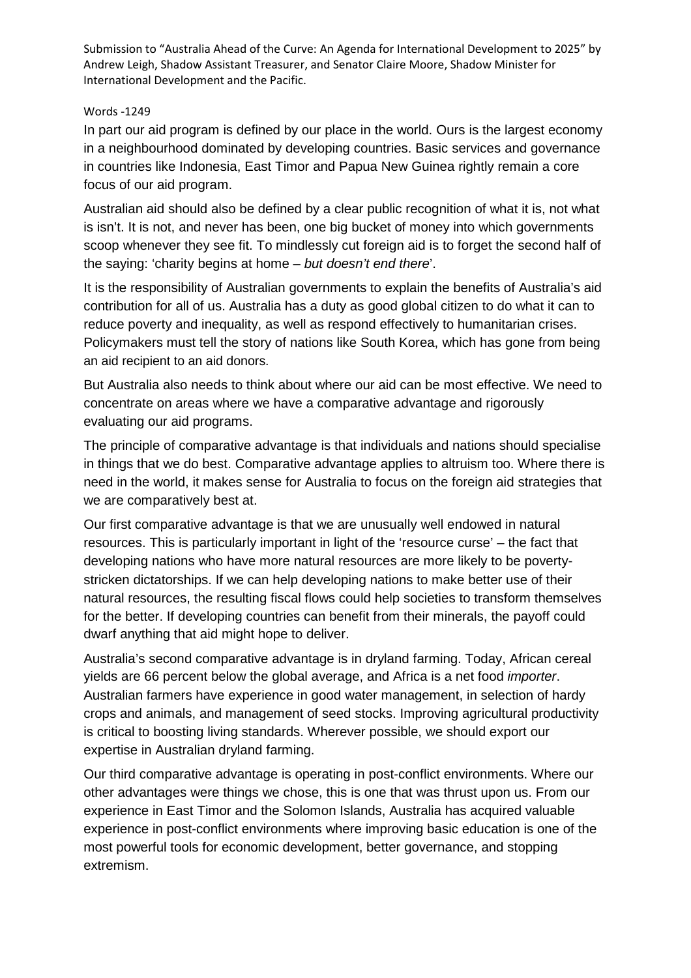Submission to "Australia Ahead of the Curve: An Agenda for International Development to 2025" by Andrew Leigh, Shadow Assistant Treasurer, and Senator Claire Moore, Shadow Minister for International Development and the Pacific.

#### Words -1249

In part our aid program is defined by our place in the world. Ours is the largest economy in a neighbourhood dominated by developing countries. Basic services and governance in countries like Indonesia, East Timor and Papua New Guinea rightly remain a core focus of our aid program.

Australian aid should also be defined by a clear public recognition of what it is, not what is isn't. It is not, and never has been, one big bucket of money into which governments scoop whenever they see fit. To mindlessly cut foreign aid is to forget the second half of the saying: 'charity begins at home – *but doesn't end there*'.

It is the responsibility of Australian governments to explain the benefits of Australia's aid contribution for all of us. Australia has a duty as good global citizen to do what it can to reduce poverty and inequality, as well as respond effectively to humanitarian crises. Policymakers must tell the story of nations like South Korea, which has gone from being an aid recipient to an aid donors.

But Australia also needs to think about where our aid can be most effective. We need to concentrate on areas where we have a comparative advantage and rigorously evaluating our aid programs.

The principle of comparative advantage is that individuals and nations should specialise in things that we do best. Comparative advantage applies to altruism too. Where there is need in the world, it makes sense for Australia to focus on the foreign aid strategies that we are comparatively best at.

Our first comparative advantage is that we are unusually well endowed in natural resources. This is particularly important in light of the 'resource curse' – the fact that developing nations who have more natural resources are more likely to be povertystricken dictatorships. If we can help developing nations to make better use of their natural resources, the resulting fiscal flows could help societies to transform themselves for the better. If developing countries can benefit from their minerals, the payoff could dwarf anything that aid might hope to deliver.

Australia's second comparative advantage is in dryland farming. Today, African cereal yields are 66 percent below the global average, and Africa is a net food *importer*. Australian farmers have experience in good water management, in selection of hardy crops and animals, and management of seed stocks. Improving agricultural productivity is critical to boosting living standards. Wherever possible, we should export our expertise in Australian dryland farming.

Our third comparative advantage is operating in post-conflict environments. Where our other advantages were things we chose, this is one that was thrust upon us. From our experience in East Timor and the Solomon Islands, Australia has acquired valuable experience in post-conflict environments where improving basic education is one of the most powerful tools for economic development, better governance, and stopping extremism.